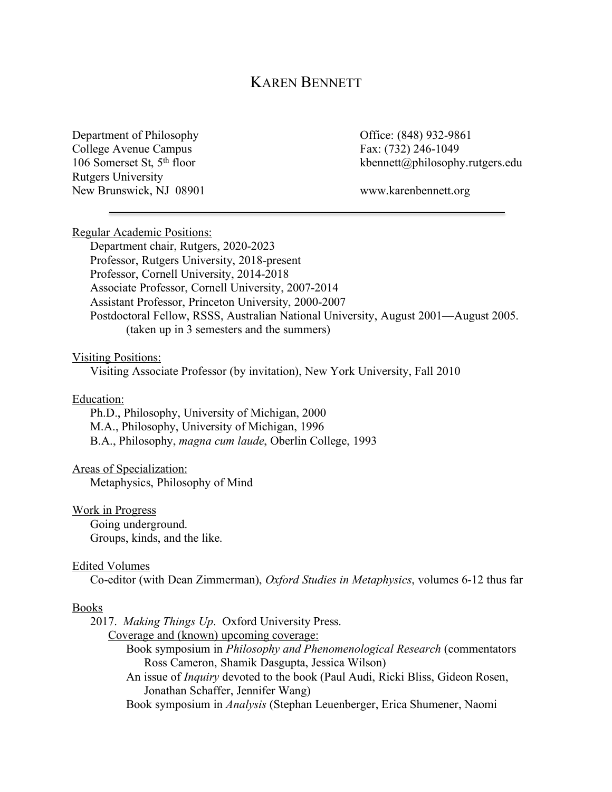# KAREN BENNETT

Department of Philosophy Office: (848) 932-9861 College Avenue Campus Fax: (732) 246-1049 Rutgers University New Brunswick, NJ 08901 www.karenbennett.org

106 Somerset St, 5<sup>th</sup> floor kbennett@philosophy.rutgers.edu

Regular Academic Positions: Department chair, Rutgers, 2020-2023 Professor, Rutgers University, 2018-present Professor, Cornell University, 2014-2018 Associate Professor, Cornell University, 2007-2014 Assistant Professor, Princeton University, 2000-2007 Postdoctoral Fellow, RSSS, Australian National University, August 2001—August 2005. (taken up in 3 semesters and the summers)

## Visiting Positions:

Visiting Associate Professor (by invitation), New York University, Fall 2010

#### Education:

Ph.D., Philosophy, University of Michigan, 2000 M.A., Philosophy, University of Michigan, 1996 B.A., Philosophy, *magna cum laude*, Oberlin College, 1993

#### Areas of Specialization:

Metaphysics, Philosophy of Mind

#### Work in Progress

Going underground. Groups, kinds, and the like.

#### Edited Volumes

Co-editor (with Dean Zimmerman), *Oxford Studies in Metaphysics*, volumes 6-12 thus far

#### Books

2017. *Making Things Up*. Oxford University Press.

Coverage and (known) upcoming coverage:

Book symposium in *Philosophy and Phenomenological Research* (commentators Ross Cameron, Shamik Dasgupta, Jessica Wilson)

An issue of *Inquiry* devoted to the book (Paul Audi, Ricki Bliss, Gideon Rosen, Jonathan Schaffer, Jennifer Wang)

Book symposium in *Analysis* (Stephan Leuenberger, Erica Shumener, Naomi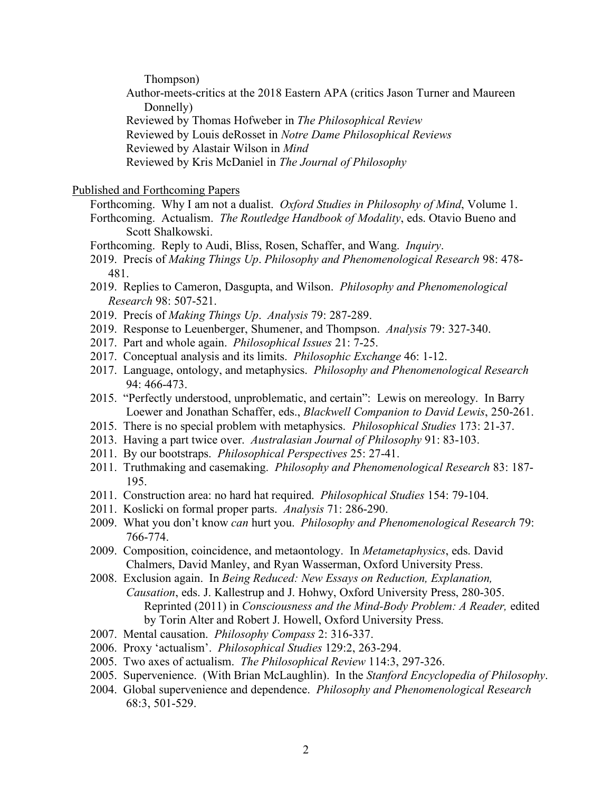Thompson)

- Author-meets-critics at the 2018 Eastern APA (critics Jason Turner and Maureen Donnelly)
- Reviewed by Thomas Hofweber in *The Philosophical Review*
- Reviewed by Louis deRosset in *Notre Dame Philosophical Reviews*
- Reviewed by Alastair Wilson in *Mind*
- Reviewed by Kris McDaniel in *The Journal of Philosophy*

#### Published and Forthcoming Papers

- Forthcoming. Why I am not a dualist. *Oxford Studies in Philosophy of Mind*, Volume 1.
- Forthcoming. Actualism. *The Routledge Handbook of Modality*, eds. Otavio Bueno and Scott Shalkowski.
- Forthcoming. Reply to Audi, Bliss, Rosen, Schaffer, and Wang. *Inquiry*.
- 2019. Precís of *Making Things Up*. *Philosophy and Phenomenological Research* 98: 478- 481.
- 2019. Replies to Cameron, Dasgupta, and Wilson. *Philosophy and Phenomenological Research* 98: 507-521.
- 2019. Precís of *Making Things Up*. *Analysis* 79: 287-289.
- 2019. Response to Leuenberger, Shumener, and Thompson. *Analysis* 79: 327-340.
- 2017. Part and whole again. *Philosophical Issues* 21: 7-25.
- 2017. Conceptual analysis and its limits. *Philosophic Exchange* 46: 1-12.
- 2017. Language, ontology, and metaphysics. *Philosophy and Phenomenological Research* 94: 466-473.
- 2015. "Perfectly understood, unproblematic, and certain": Lewis on mereology. In Barry Loewer and Jonathan Schaffer, eds., *Blackwell Companion to David Lewis*, 250-261.
- 2015. There is no special problem with metaphysics. *Philosophical Studies* 173: 21-37.
- 2013. Having a part twice over. *Australasian Journal of Philosophy* 91: 83-103.
- 2011. By our bootstraps. *Philosophical Perspectives* 25: 27-41.
- 2011. Truthmaking and casemaking. *Philosophy and Phenomenological Research* 83: 187- 195.
- 2011. Construction area: no hard hat required. *Philosophical Studies* 154: 79-104.
- 2011. Koslicki on formal proper parts. *Analysis* 71: 286-290.
- 2009. What you don't know *can* hurt you. *Philosophy and Phenomenological Research* 79: 766-774.
- 2009. Composition, coincidence, and metaontology. In *Metametaphysics*, eds. David Chalmers, David Manley, and Ryan Wasserman, Oxford University Press.
- 2008. Exclusion again. In *Being Reduced: New Essays on Reduction, Explanation, Causation*, eds. J. Kallestrup and J. Hohwy, Oxford University Press, 280-305. Reprinted (2011) in *Consciousness and the Mind-Body Problem: A Reader,* edited by Torin Alter and Robert J. Howell, Oxford University Press.
- 2007. Mental causation. *Philosophy Compass* 2: 316-337.
- 2006. Proxy 'actualism'. *Philosophical Studies* 129:2, 263-294.
- 2005. Two axes of actualism. *The Philosophical Review* 114:3, 297-326.
- 2005. Supervenience. (With Brian McLaughlin). In the *Stanford Encyclopedia of Philosophy*.
- 2004. Global supervenience and dependence. *Philosophy and Phenomenological Research* 68:3, 501-529.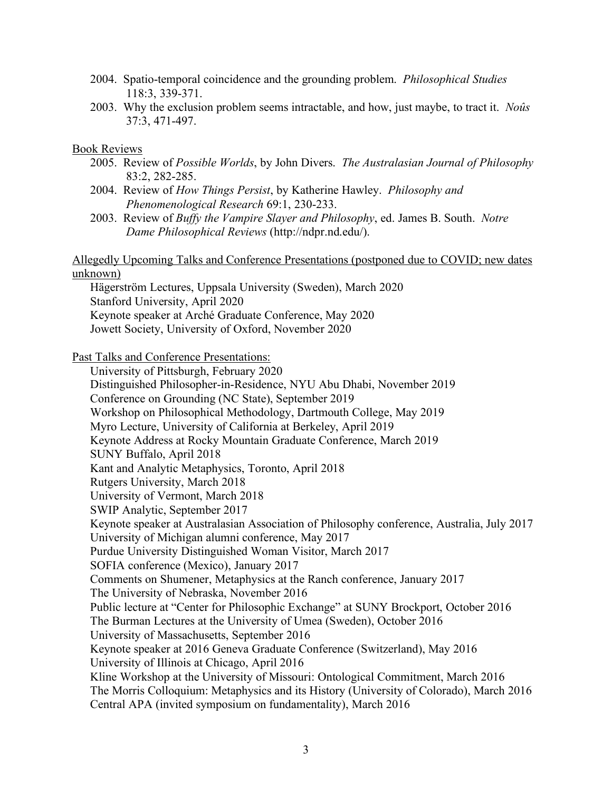- 2004. Spatio-temporal coincidence and the grounding problem. *Philosophical Studies* 118:3, 339-371.
- 2003. Why the exclusion problem seems intractable, and how, just maybe, to tract it. *Noûs* 37:3, 471-497.

# Book Reviews

- 2005. Review of *Possible Worlds*, by John Divers. *The Australasian Journal of Philosophy* 83:2, 282-285.
- 2004. Review of *How Things Persist*, by Katherine Hawley. *Philosophy and Phenomenological Research* 69:1, 230-233.
- 2003. Review of *Buffy the Vampire Slayer and Philosophy*, ed. James B. South. *Notre Dame Philosophical Reviews* (http://ndpr.nd.edu/).

Allegedly Upcoming Talks and Conference Presentations (postponed due to COVID; new dates unknown)

Hägerström Lectures, Uppsala University (Sweden), March 2020 Stanford University, April 2020 Keynote speaker at Arché Graduate Conference, May 2020 Jowett Society, University of Oxford, November 2020

Past Talks and Conference Presentations:

University of Pittsburgh, February 2020 Distinguished Philosopher-in-Residence, NYU Abu Dhabi, November 2019 Conference on Grounding (NC State), September 2019 Workshop on Philosophical Methodology, Dartmouth College, May 2019 Myro Lecture, University of California at Berkeley, April 2019 Keynote Address at Rocky Mountain Graduate Conference, March 2019 SUNY Buffalo, April 2018 Kant and Analytic Metaphysics, Toronto, April 2018 Rutgers University, March 2018 University of Vermont, March 2018 SWIP Analytic, September 2017 Keynote speaker at Australasian Association of Philosophy conference, Australia, July 2017 University of Michigan alumni conference, May 2017 Purdue University Distinguished Woman Visitor, March 2017 SOFIA conference (Mexico), January 2017 Comments on Shumener, Metaphysics at the Ranch conference, January 2017 The University of Nebraska, November 2016 Public lecture at "Center for Philosophic Exchange" at SUNY Brockport, October 2016 The Burman Lectures at the University of Umea (Sweden), October 2016 University of Massachusetts, September 2016 Keynote speaker at 2016 Geneva Graduate Conference (Switzerland), May 2016 University of Illinois at Chicago, April 2016 Kline Workshop at the University of Missouri: Ontological Commitment, March 2016 The Morris Colloquium: Metaphysics and its History (University of Colorado), March 2016 Central APA (invited symposium on fundamentality), March 2016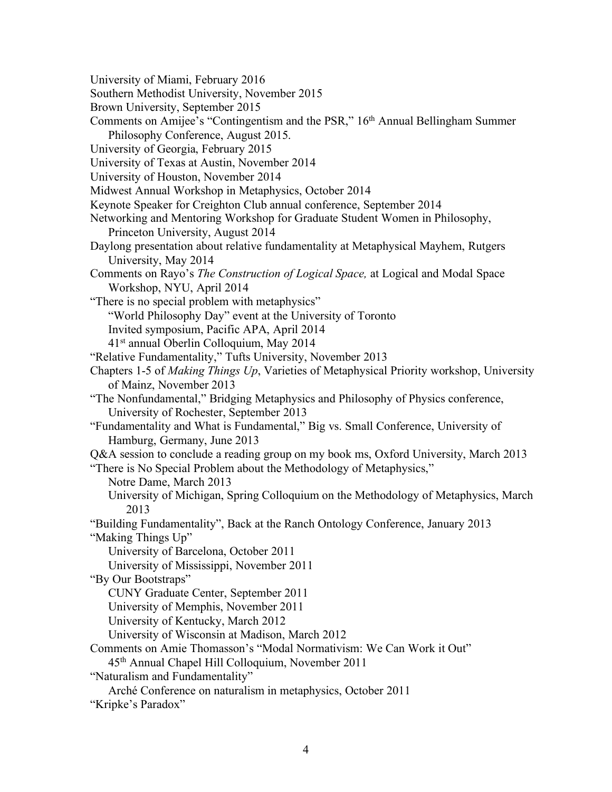University of Miami, February 2016 Southern Methodist University, November 2015 Brown University, September 2015 Comments on Amijee's "Contingentism and the PSR," 16th Annual Bellingham Summer Philosophy Conference, August 2015. University of Georgia, February 2015 University of Texas at Austin, November 2014 University of Houston, November 2014 Midwest Annual Workshop in Metaphysics, October 2014 Keynote Speaker for Creighton Club annual conference, September 2014 Networking and Mentoring Workshop for Graduate Student Women in Philosophy, Princeton University, August 2014 Daylong presentation about relative fundamentality at Metaphysical Mayhem, Rutgers University, May 2014 Comments on Rayo's *The Construction of Logical Space,* at Logical and Modal Space Workshop, NYU, April 2014 "There is no special problem with metaphysics" "World Philosophy Day" event at the University of Toronto Invited symposium, Pacific APA, April 2014 41st annual Oberlin Colloquium, May 2014 "Relative Fundamentality," Tufts University, November 2013 Chapters 1-5 of *Making Things Up*, Varieties of Metaphysical Priority workshop, University of Mainz, November 2013 "The Nonfundamental," Bridging Metaphysics and Philosophy of Physics conference, University of Rochester, September 2013 "Fundamentality and What is Fundamental," Big vs. Small Conference, University of Hamburg, Germany, June 2013 Q&A session to conclude a reading group on my book ms, Oxford University, March 2013 "There is No Special Problem about the Methodology of Metaphysics," Notre Dame, March 2013 University of Michigan, Spring Colloquium on the Methodology of Metaphysics, March 2013 "Building Fundamentality", Back at the Ranch Ontology Conference, January 2013 "Making Things Up" University of Barcelona, October 2011 University of Mississippi, November 2011 "By Our Bootstraps" CUNY Graduate Center, September 2011 University of Memphis, November 2011 University of Kentucky, March 2012 University of Wisconsin at Madison, March 2012 Comments on Amie Thomasson's "Modal Normativism: We Can Work it Out" 45th Annual Chapel Hill Colloquium, November 2011 "Naturalism and Fundamentality" Arché Conference on naturalism in metaphysics, October 2011 "Kripke's Paradox"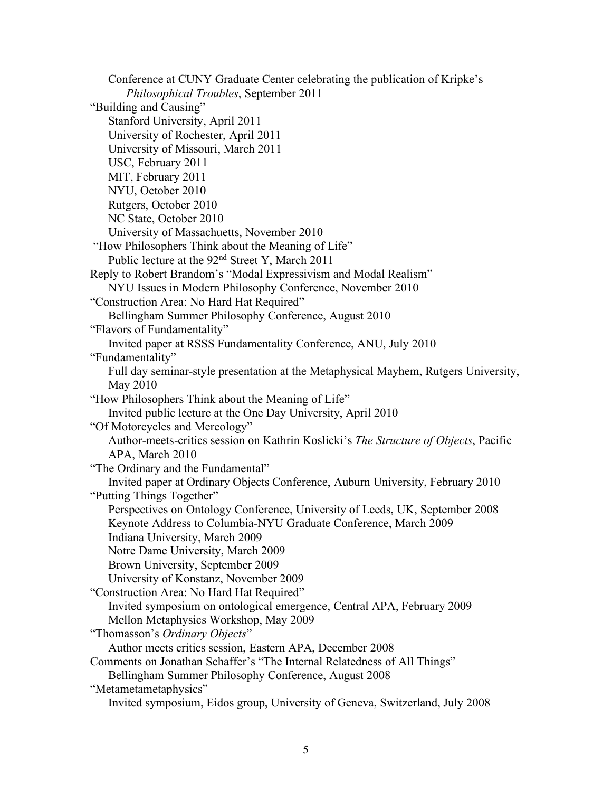Conference at CUNY Graduate Center celebrating the publication of Kripke's *Philosophical Troubles*, September 2011 "Building and Causing" Stanford University, April 2011 University of Rochester, April 2011 University of Missouri, March 2011 USC, February 2011 MIT, February 2011 NYU, October 2010 Rutgers, October 2010 NC State, October 2010 University of Massachuetts, November 2010 "How Philosophers Think about the Meaning of Life" Public lecture at the 92nd Street Y, March 2011 Reply to Robert Brandom's "Modal Expressivism and Modal Realism" NYU Issues in Modern Philosophy Conference, November 2010 "Construction Area: No Hard Hat Required" Bellingham Summer Philosophy Conference, August 2010 "Flavors of Fundamentality" Invited paper at RSSS Fundamentality Conference, ANU, July 2010 "Fundamentality" Full day seminar-style presentation at the Metaphysical Mayhem, Rutgers University, May 2010 "How Philosophers Think about the Meaning of Life" Invited public lecture at the One Day University, April 2010 "Of Motorcycles and Mereology" Author-meets-critics session on Kathrin Koslicki's *The Structure of Objects*, Pacific APA, March 2010 "The Ordinary and the Fundamental" Invited paper at Ordinary Objects Conference, Auburn University, February 2010 "Putting Things Together" Perspectives on Ontology Conference, University of Leeds, UK, September 2008 Keynote Address to Columbia-NYU Graduate Conference, March 2009 Indiana University, March 2009 Notre Dame University, March 2009 Brown University, September 2009 University of Konstanz, November 2009 "Construction Area: No Hard Hat Required" Invited symposium on ontological emergence, Central APA, February 2009 Mellon Metaphysics Workshop, May 2009 "Thomasson's *Ordinary Objects*" Author meets critics session, Eastern APA, December 2008 Comments on Jonathan Schaffer's "The Internal Relatedness of All Things" Bellingham Summer Philosophy Conference, August 2008 "Metametametaphysics" Invited symposium, Eidos group, University of Geneva, Switzerland, July 2008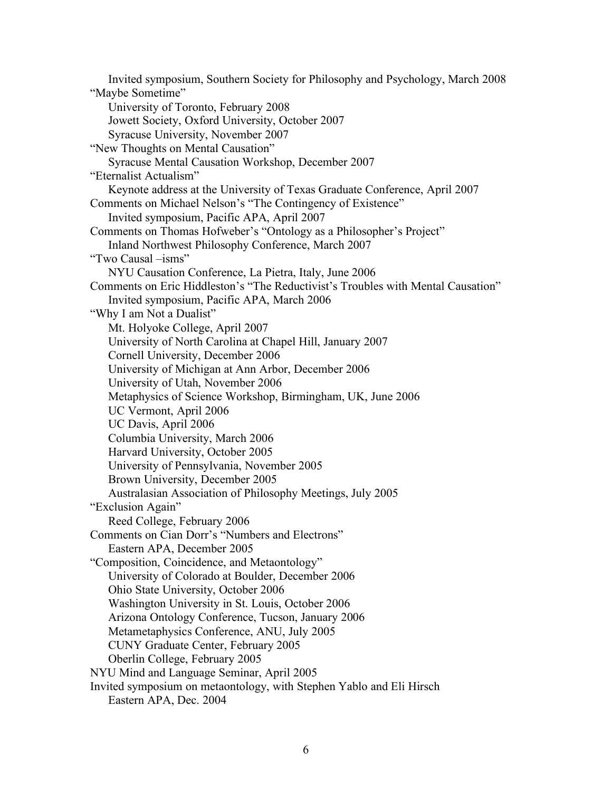Invited symposium, Southern Society for Philosophy and Psychology, March 2008 "Maybe Sometime" University of Toronto, February 2008 Jowett Society, Oxford University, October 2007 Syracuse University, November 2007 "New Thoughts on Mental Causation" Syracuse Mental Causation Workshop, December 2007 "Eternalist Actualism" Keynote address at the University of Texas Graduate Conference, April 2007 Comments on Michael Nelson's "The Contingency of Existence" Invited symposium, Pacific APA, April 2007 Comments on Thomas Hofweber's "Ontology as a Philosopher's Project" Inland Northwest Philosophy Conference, March 2007 "Two Causal –isms" NYU Causation Conference, La Pietra, Italy, June 2006 Comments on Eric Hiddleston's "The Reductivist's Troubles with Mental Causation" Invited symposium, Pacific APA, March 2006 "Why I am Not a Dualist" Mt. Holyoke College, April 2007 University of North Carolina at Chapel Hill, January 2007 Cornell University, December 2006 University of Michigan at Ann Arbor, December 2006 University of Utah, November 2006 Metaphysics of Science Workshop, Birmingham, UK, June 2006 UC Vermont, April 2006 UC Davis, April 2006 Columbia University, March 2006 Harvard University, October 2005 University of Pennsylvania, November 2005 Brown University, December 2005 Australasian Association of Philosophy Meetings, July 2005 "Exclusion Again" Reed College, February 2006 Comments on Cian Dorr's "Numbers and Electrons" Eastern APA, December 2005 "Composition, Coincidence, and Metaontology" University of Colorado at Boulder, December 2006 Ohio State University, October 2006 Washington University in St. Louis, October 2006 Arizona Ontology Conference, Tucson, January 2006 Metametaphysics Conference, ANU, July 2005 CUNY Graduate Center, February 2005 Oberlin College, February 2005 NYU Mind and Language Seminar, April 2005 Invited symposium on metaontology, with Stephen Yablo and Eli Hirsch Eastern APA, Dec. 2004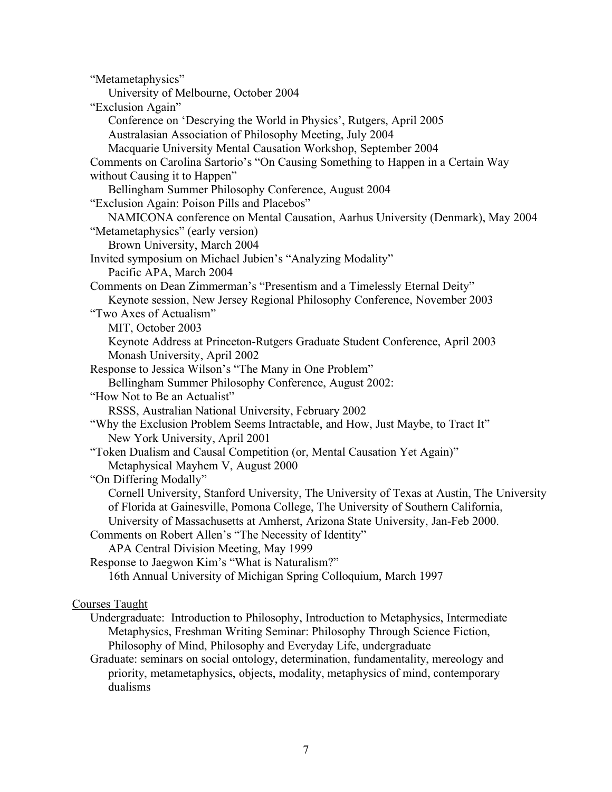"Metametaphysics" University of Melbourne, October 2004 "Exclusion Again" Conference on 'Descrying the World in Physics', Rutgers, April 2005 Australasian Association of Philosophy Meeting, July 2004 Macquarie University Mental Causation Workshop, September 2004 Comments on Carolina Sartorio's "On Causing Something to Happen in a Certain Way without Causing it to Happen" Bellingham Summer Philosophy Conference, August 2004 "Exclusion Again: Poison Pills and Placebos" NAMICONA conference on Mental Causation, Aarhus University (Denmark), May 2004 "Metametaphysics" (early version) Brown University, March 2004 Invited symposium on Michael Jubien's "Analyzing Modality" Pacific APA, March 2004 Comments on Dean Zimmerman's "Presentism and a Timelessly Eternal Deity" Keynote session, New Jersey Regional Philosophy Conference, November 2003 "Two Axes of Actualism" MIT, October 2003 Keynote Address at Princeton-Rutgers Graduate Student Conference, April 2003 Monash University, April 2002 Response to Jessica Wilson's "The Many in One Problem" Bellingham Summer Philosophy Conference, August 2002: "How Not to Be an Actualist" RSSS, Australian National University, February 2002 "Why the Exclusion Problem Seems Intractable, and How, Just Maybe, to Tract It" New York University, April 2001 "Token Dualism and Causal Competition (or, Mental Causation Yet Again)" Metaphysical Mayhem V, August 2000 "On Differing Modally" Cornell University, Stanford University, The University of Texas at Austin, The University of Florida at Gainesville, Pomona College, The University of Southern California, University of Massachusetts at Amherst, Arizona State University, Jan-Feb 2000. Comments on Robert Allen's "The Necessity of Identity" APA Central Division Meeting, May 1999 Response to Jaegwon Kim's "What is Naturalism?" 16th Annual University of Michigan Spring Colloquium, March 1997 Courses Taught Undergraduate: Introduction to Philosophy, Introduction to Metaphysics, Intermediate Metaphysics, Freshman Writing Seminar: Philosophy Through Science Fiction,

Philosophy of Mind, Philosophy and Everyday Life, undergraduate

Graduate: seminars on social ontology, determination, fundamentality, mereology and priority, metametaphysics, objects, modality, metaphysics of mind, contemporary dualisms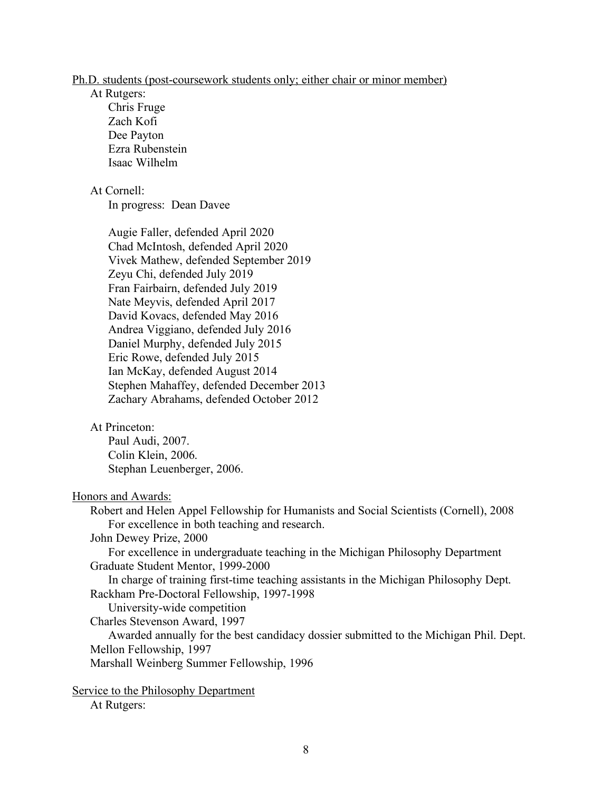#### Ph.D. students (post-coursework students only; either chair or minor member)

At Rutgers:

Chris Fruge Zach Kofi Dee Payton Ezra Rubenstein Isaac Wilhelm

# At Cornell:

In progress: Dean Davee

Augie Faller, defended April 2020 Chad McIntosh, defended April 2020 Vivek Mathew, defended September 2019 Zeyu Chi, defended July 2019 Fran Fairbairn, defended July 2019 Nate Meyvis, defended April 2017 David Kovacs, defended May 2016 Andrea Viggiano, defended July 2016 Daniel Murphy, defended July 2015 Eric Rowe, defended July 2015 Ian McKay, defended August 2014 Stephen Mahaffey, defended December 2013 Zachary Abrahams, defended October 2012

## At Princeton:

Paul Audi, 2007. Colin Klein, 2006. Stephan Leuenberger, 2006.

# Honors and Awards:

Robert and Helen Appel Fellowship for Humanists and Social Scientists (Cornell), 2008 For excellence in both teaching and research. John Dewey Prize, 2000 For excellence in undergraduate teaching in the Michigan Philosophy Department Graduate Student Mentor, 1999-2000 In charge of training first-time teaching assistants in the Michigan Philosophy Dept. Rackham Pre-Doctoral Fellowship, 1997-1998 University-wide competition Charles Stevenson Award, 1997 Awarded annually for the best candidacy dossier submitted to the Michigan Phil. Dept. Mellon Fellowship, 1997

Marshall Weinberg Summer Fellowship, 1996

# Service to the Philosophy Department

At Rutgers: